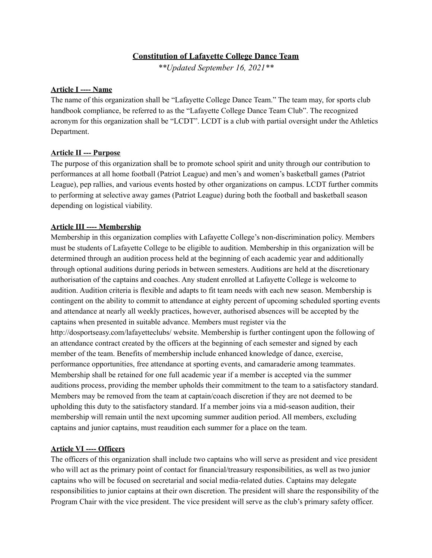## **Constitution of Lafayette College Dance Team**

*\*\*Updated September 16, 2021\*\**

#### **Article I ---- Name**

The name of this organization shall be "Lafayette College Dance Team." The team may, for sports club handbook compliance, be referred to as the "Lafayette College Dance Team Club". The recognized acronym for this organization shall be "LCDT". LCDT is a club with partial oversight under the Athletics Department.

## **Article II --- Purpose**

The purpose of this organization shall be to promote school spirit and unity through our contribution to performances at all home football (Patriot League) and men's and women's basketball games (Patriot League), pep rallies, and various events hosted by other organizations on campus. LCDT further commits to performing at selective away games (Patriot League) during both the football and basketball season depending on logistical viability.

#### **Article III ---- Membership**

Membership in this organization complies with Lafayette College's non-discrimination policy. Members must be students of Lafayette College to be eligible to audition. Membership in this organization will be determined through an audition process held at the beginning of each academic year and additionally through optional auditions during periods in between semesters. Auditions are held at the discretionary authorisation of the captains and coaches. Any student enrolled at Lafayette College is welcome to audition. Audition criteria is flexible and adapts to fit team needs with each new season. Membership is contingent on the ability to commit to attendance at eighty percent of upcoming scheduled sporting events and attendance at nearly all weekly practices, however, authorised absences will be accepted by the captains when presented in suitable advance. Members must register via the http://dosportseasy.com/lafayetteclubs/ website. Membership is further contingent upon the following of an attendance contract created by the officers at the beginning of each semester and signed by each member of the team. Benefits of membership include enhanced knowledge of dance, exercise, performance opportunities, free attendance at sporting events, and camaraderie among teammates. Membership shall be retained for one full academic year if a member is accepted via the summer auditions process, providing the member upholds their commitment to the team to a satisfactory standard. Members may be removed from the team at captain/coach discretion if they are not deemed to be upholding this duty to the satisfactory standard. If a member joins via a mid-season audition, their membership will remain until the next upcoming summer audition period. All members, excluding

## **Article VI ---- Officers**

The officers of this organization shall include two captains who will serve as president and vice president who will act as the primary point of contact for financial/treasury responsibilities, as well as two junior captains who will be focused on secretarial and social media-related duties. Captains may delegate responsibilities to junior captains at their own discretion. The president will share the responsibility of the Program Chair with the vice president. The vice president will serve as the club's primary safety officer.

captains and junior captains, must reaudition each summer for a place on the team.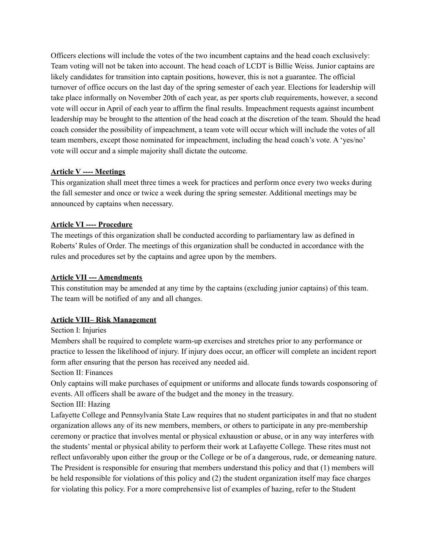Officers elections will include the votes of the two incumbent captains and the head coach exclusively: Team voting will not be taken into account. The head coach of LCDT is Billie Weiss. Junior captains are likely candidates for transition into captain positions, however, this is not a guarantee. The official turnover of office occurs on the last day of the spring semester of each year. Elections for leadership will take place informally on November 20th of each year, as per sports club requirements, however, a second vote will occur in April of each year to affirm the final results. Impeachment requests against incumbent leadership may be brought to the attention of the head coach at the discretion of the team. Should the head coach consider the possibility of impeachment, a team vote will occur which will include the votes of all team members, except those nominated for impeachment, including the head coach's vote. A 'yes/no' vote will occur and a simple majority shall dictate the outcome.

## **Article V ---- Meetings**

This organization shall meet three times a week for practices and perform once every two weeks during the fall semester and once or twice a week during the spring semester. Additional meetings may be announced by captains when necessary.

## **Article VI ---- Procedure**

The meetings of this organization shall be conducted according to parliamentary law as defined in Roberts' Rules of Order. The meetings of this organization shall be conducted in accordance with the rules and procedures set by the captains and agree upon by the members.

## **Article VII --- Amendments**

This constitution may be amended at any time by the captains (excluding junior captains) of this team. The team will be notified of any and all changes.

# **Article VIII– Risk Management**

## Section I: Injuries

Members shall be required to complete warm-up exercises and stretches prior to any performance or practice to lessen the likelihood of injury. If injury does occur, an officer will complete an incident report form after ensuring that the person has received any needed aid.

## Section II: Finances

Only captains will make purchases of equipment or uniforms and allocate funds towards cosponsoring of events. All officers shall be aware of the budget and the money in the treasury.

## Section III: Hazing

Lafayette College and Pennsylvania State Law requires that no student participates in and that no student organization allows any of its new members, members, or others to participate in any pre-membership ceremony or practice that involves mental or physical exhaustion or abuse, or in any way interferes with the students' mental or physical ability to perform their work at Lafayette College. These rites must not reflect unfavorably upon either the group or the College or be of a dangerous, rude, or demeaning nature. The President is responsible for ensuring that members understand this policy and that (1) members will be held responsible for violations of this policy and (2) the student organization itself may face charges for violating this policy. For a more comprehensive list of examples of hazing, refer to the Student